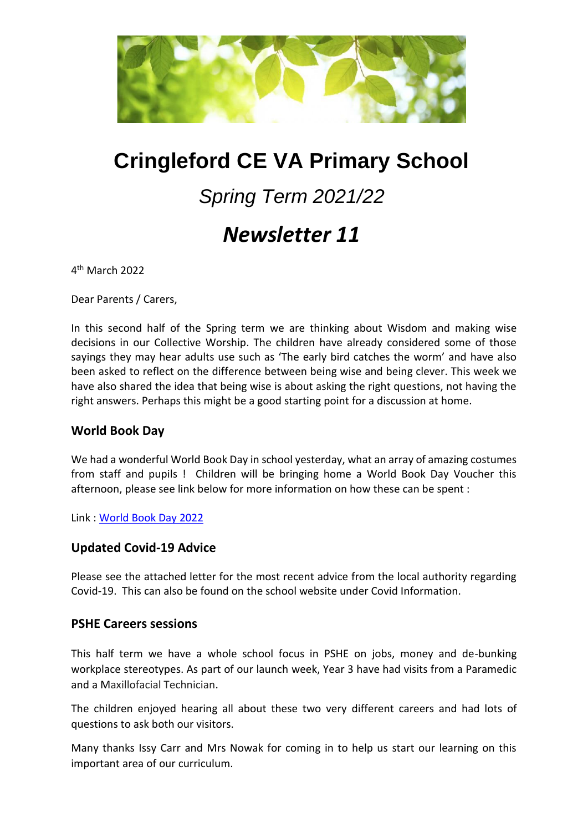

# **Cringleford CE VA Primary School**

# *Spring Term 2021/22*

# *Newsletter 11*

4 th March 2022

Dear Parents / Carers,

In this second half of the Spring term we are thinking about Wisdom and making wise decisions in our Collective Worship. The children have already considered some of those sayings they may hear adults use such as 'The early bird catches the worm' and have also been asked to reflect on the difference between being wise and being clever. This week we have also shared the idea that being wise is about asking the right questions, not having the right answers. Perhaps this might be a good starting point for a discussion at home.

#### **World Book Day**

We had a wonderful World Book Day in school yesterday, what an array of amazing costumes from staff and pupils ! Children will be bringing home a World Book Day Voucher this afternoon, please see link below for more information on how these can be spent :

Link : [World Book Day 2022](https://www.worldbookday.com/books/)

#### **Updated Covid-19 Advice**

Please see the attached letter for the most recent advice from the local authority regarding Covid-19. This can also be found on the school website under Covid Information.

#### **PSHE Careers sessions**

This half term we have a whole school focus in PSHE on jobs, money and de-bunking workplace stereotypes. As part of our launch week, Year 3 have had visits from a Paramedic and a Maxillofacial Technician.

The children enjoyed hearing all about these two very different careers and had lots of questions to ask both our visitors.

Many thanks Issy Carr and Mrs Nowak for coming in to help us start our learning on this important area of our curriculum.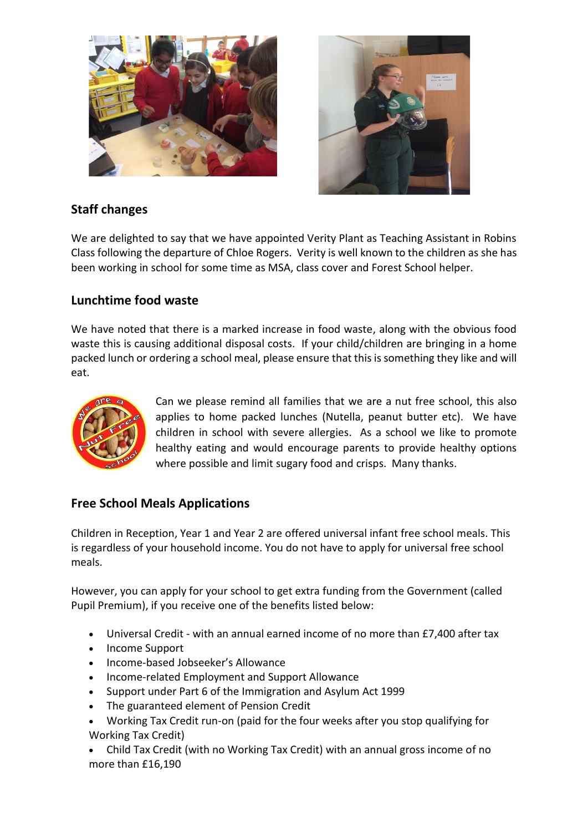



## **Staff changes**

We are delighted to say that we have appointed Verity Plant as Teaching Assistant in Robins Class following the departure of Chloe Rogers. Verity is well known to the children as she has been working in school for some time as MSA, class cover and Forest School helper.

### **Lunchtime food waste**

We have noted that there is a marked increase in food waste, along with the obvious food waste this is causing additional disposal costs. If your child/children are bringing in a home packed lunch or ordering a school meal, please ensure that this is something they like and will eat.



Can we please remind all families that we are a nut free school, this also applies to home packed lunches (Nutella, peanut butter etc). We have children in school with severe allergies. As a school we like to promote healthy eating and would encourage parents to provide healthy options where possible and limit sugary food and crisps. Many thanks.

# **Free School Meals Applications**

Children in Reception, Year 1 and Year 2 are offered universal infant free school meals. This is regardless of your household income. You do not have to apply for universal free school meals.

However, you can apply for your school to get extra funding from the Government (called Pupil Premium), if you receive one of the benefits listed below:

- Universal Credit with an annual earned income of no more than £7,400 after tax
- Income Support
- Income-based Jobseeker's Allowance
- Income-related Employment and Support Allowance
- Support under Part 6 of the Immigration and Asylum Act 1999
- The guaranteed element of Pension Credit
- Working Tax Credit run-on (paid for the four weeks after you stop qualifying for Working Tax Credit)
- Child Tax Credit (with no Working Tax Credit) with an annual gross income of no more than £16,190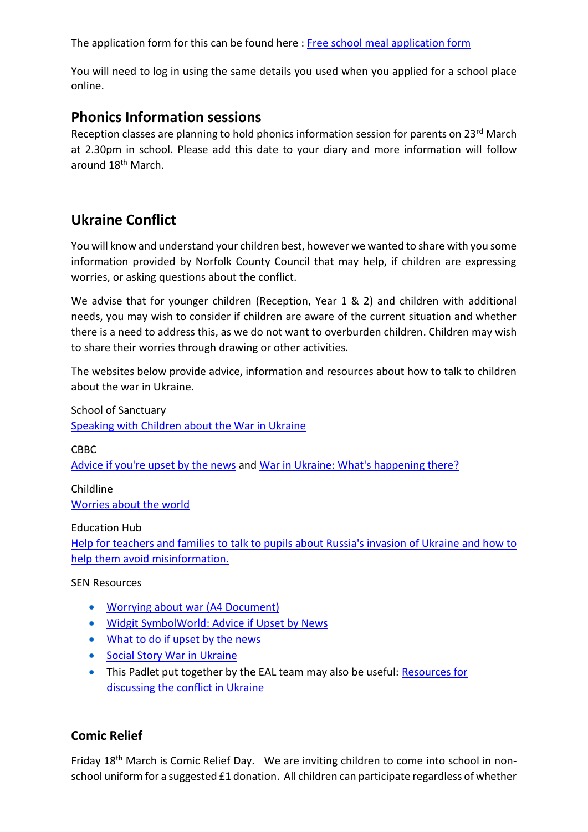The application form for this can be found here : [Free school meal application form](https://www.norfolk.gov.uk/education-and-learning/schools/school-meals-and-milk)

You will need to log in using the same details you used when you applied for a school place online.

## **Phonics Information sessions**

Reception classes are planning to hold phonics information session for parents on 23<sup>rd</sup> March at 2.30pm in school. Please add this date to your diary and more information will follow around 18th March.

# **Ukraine Conflict**

You will know and understand your children best, however we wanted to share with you some information provided by Norfolk County Council that may help, if children are expressing worries, or asking questions about the conflict.

We advise that for younger children (Reception, Year 1 & 2) and children with additional needs, you may wish to consider if children are aware of the current situation and whether there is a need to address this, as we do not want to overburden children. Children may wish to share their worries through drawing or other activities.

The websites below provide advice, information and resources about how to talk to children about the war in Ukraine.

School of Sanctuary [Speaking with Children about the War in Ukraine](https://schools.cityofsanctuary.org/2022/02/28/speaking-with-children-about-the-war-in-ukraine)

CBBC

[Advice if you're upset by the news](https://www.bbc.co.uk/newsround/13865002) an[d War in Ukraine: What's happening there?](https://www.bbc.co.uk/newsround/60554258)

Childline [Worries about the world](https://www.childline.org.uk/info-advice/your-feelings/anxiety-stress-panic/worries-about-the-world/)

Education Hub

[Help for teachers and families to talk to pupils about Russia's invasion of Ukraine and how to](https://educationhub.blog.gov.uk/2022/02/25/help-for-teachers-and-families-to-talk-to-pupils-about-russias-invasion-of-ukraine-and-how-to-help-them-avoid-misinformation/)  [help them avoid misinformation.](https://educationhub.blog.gov.uk/2022/02/25/help-for-teachers-and-families-to-talk-to-pupils-about-russias-invasion-of-ukraine-and-how-to-help-them-avoid-misinformation/)

SEN Resources

- [Worrying about war \(A4 Document\)](https://www.phoenixgrouphq.com/_files/ugd/bbe3de_2f4eb9ee92ce4b56bde97b3234c862aa.pdf)
- [Widgit SymbolWorld: Advice if Upset by News](https://symbolworld.org/articles/4751)
- [What to do if upset by the news](https://www.norfolkepss.org.uk/wp-content/uploads/2022/03/Upset-by-the-news.pdf)
- **[Social Story War in Ukraine](https://www.norfolkepss.org.uk/wp-content/uploads/2022/03/Social-Story-War-in-Ukraine.pdf)**
- This Padlet put together by the EAL team may also be useful: Resources for [discussing the conflict in Ukraine](https://eur02.safelinks.protection.outlook.com/?url=https%3A%2F%2Fpadlet.com%2FNorfolkEAL%2F2kx4qve24xyy4l1m&data=04%7C01%7Cbianca.finger-berry%40norfolk.gov.uk%7Ce3492148802240cf2a0c08d9fc609ca3%7C1419177e57e04f0faff0fd61b549d10e%7C0%7C0%7C637818314131525902%7CUnknown%7CTWFpbGZsb3d8eyJWIjoiMC4wLjAwMDAiLCJQIjoiV2luMzIiLCJBTiI6Ik1haWwiLCJXVCI6Mn0%3D%7C3000&sdata=AVMKis8ou3UXlf243J0WrLNzy5QMUZOaEkoVMtVfaAY%3D&reserved=0)

#### **Comic Relief**

Friday 18th March is Comic Relief Day. We are inviting children to come into school in nonschool uniform for a suggested £1 donation. All children can participate regardless of whether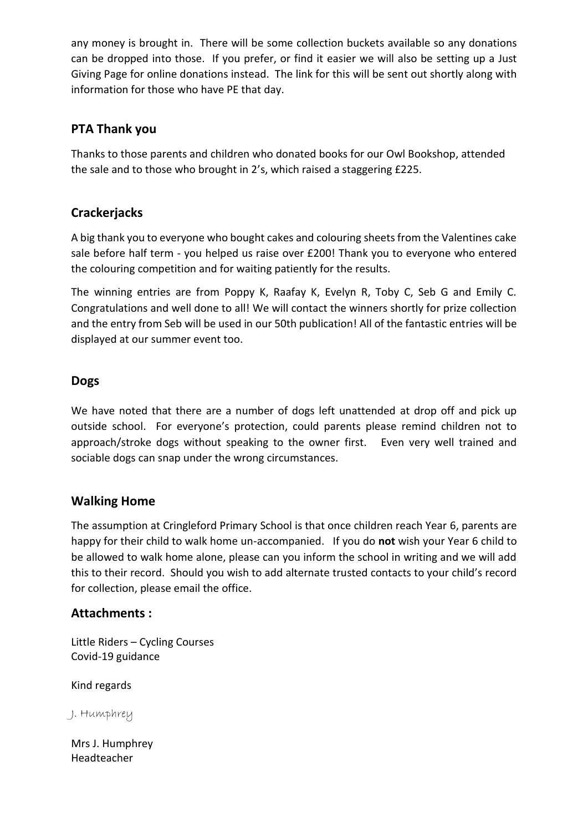any money is brought in. There will be some collection buckets available so any donations can be dropped into those. If you prefer, or find it easier we will also be setting up a Just Giving Page for online donations instead. The link for this will be sent out shortly along with information for those who have PE that day.

### **PTA Thank you**

Thanks to those parents and children who donated books for our Owl Bookshop, attended the sale and to those who brought in 2's, which raised a staggering £225.

# **Crackerjacks**

A big thank you to everyone who bought cakes and colouring sheets from the Valentines cake sale before half term - you helped us raise over £200! Thank you to everyone who entered the colouring competition and for waiting patiently for the results.

The winning entries are from Poppy K, Raafay K, Evelyn R, Toby C, Seb G and Emily C. Congratulations and well done to all! We will contact the winners shortly for prize collection and the entry from Seb will be used in our 50th publication! All of the fantastic entries will be displayed at our summer event too.

### **Dogs**

We have noted that there are a number of dogs left unattended at drop off and pick up outside school. For everyone's protection, could parents please remind children not to approach/stroke dogs without speaking to the owner first. Even very well trained and sociable dogs can snap under the wrong circumstances.

#### **Walking Home**

The assumption at Cringleford Primary School is that once children reach Year 6, parents are happy for their child to walk home un-accompanied. If you do **not** wish your Year 6 child to be allowed to walk home alone, please can you inform the school in writing and we will add this to their record. Should you wish to add alternate trusted contacts to your child's record for collection, please email the office.

#### **Attachments :**

Little Riders – Cycling Courses Covid-19 guidance

Kind regards

J. Humphrey

Mrs J. Humphrey Headteacher